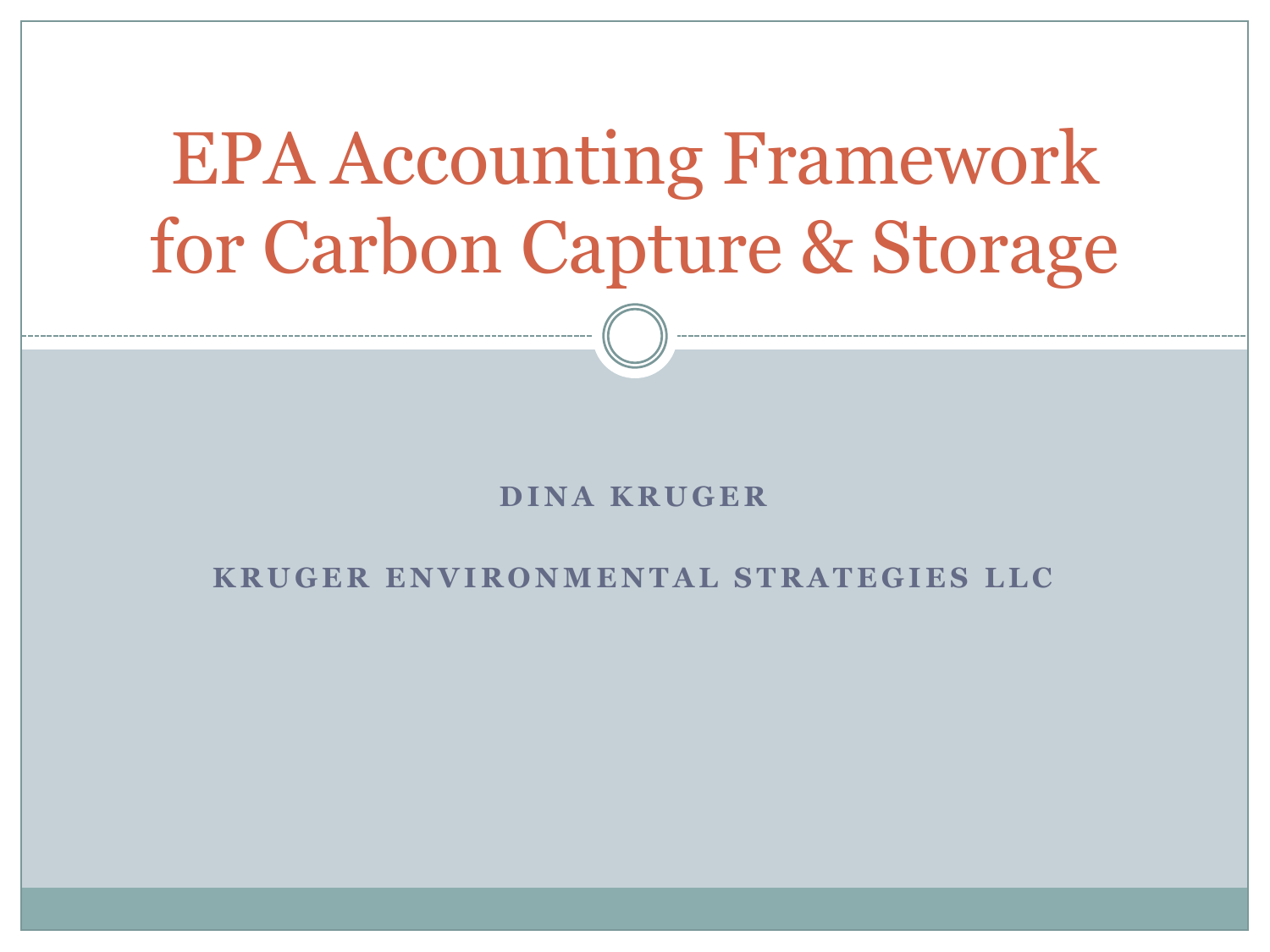# EPA Accounting Framework for Carbon Capture & Storage

#### **D I N A K R U G E R**

#### **KRUGER ENVIRONMENTAL STRATEGIES LLC**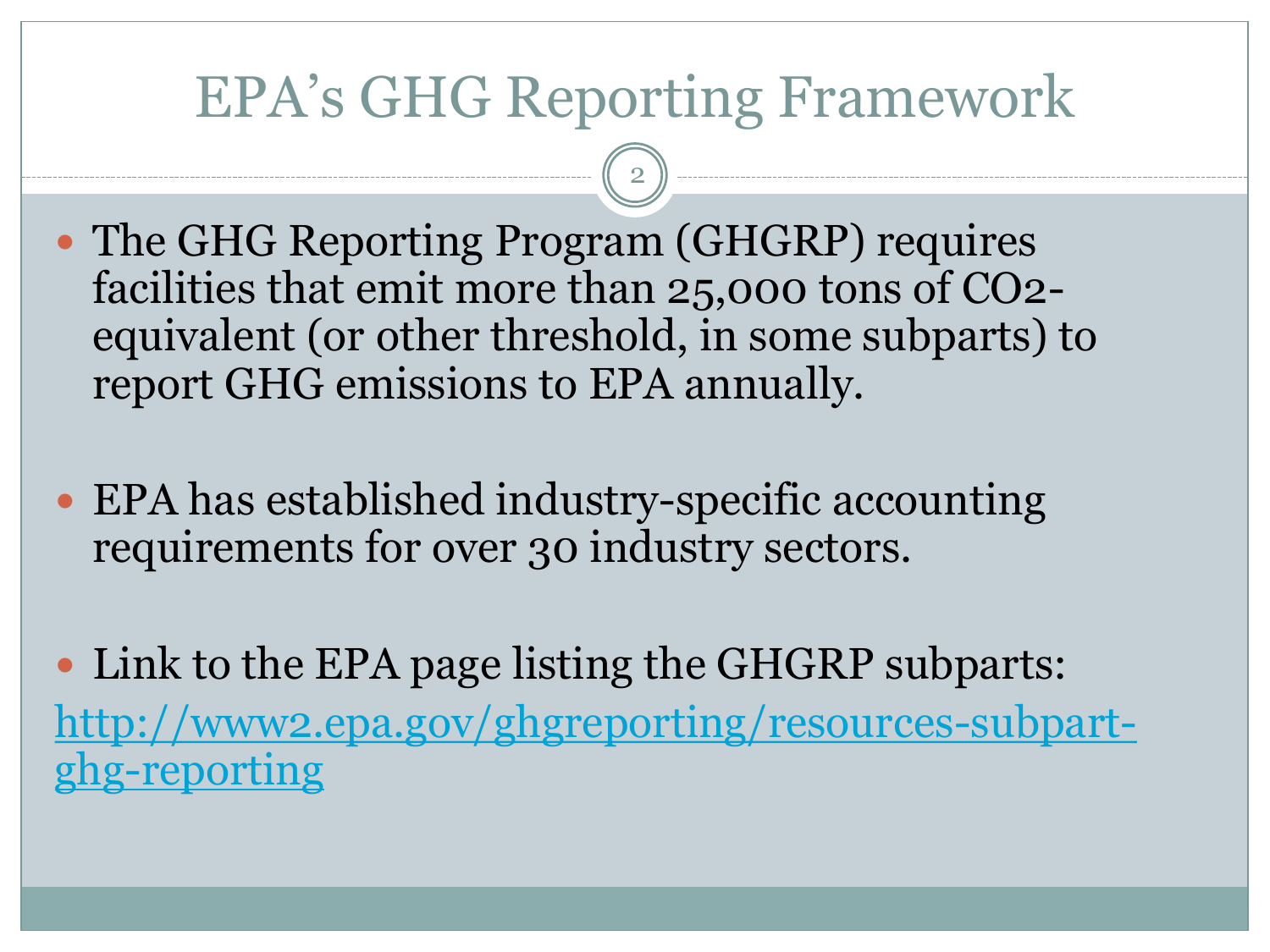#### EPA's GHG Reporting Framework

- The GHG Reporting Program (GHGRP) requires facilities that emit more than 25,000 tons of CO2 equivalent (or other threshold, in some subparts) to report GHG emissions to EPA annually.
- EPA has established industry-specific accounting requirements for over 30 industry sectors.
- Link to the EPA page listing the GHGRP subparts: [http://www2.epa.gov/ghgreporting/resources-subpart](http://www2.epa.gov/ghgreporting/resources-subpart-ghg-reporting)[ghg-reporting](http://www2.epa.gov/ghgreporting/resources-subpart-ghg-reporting)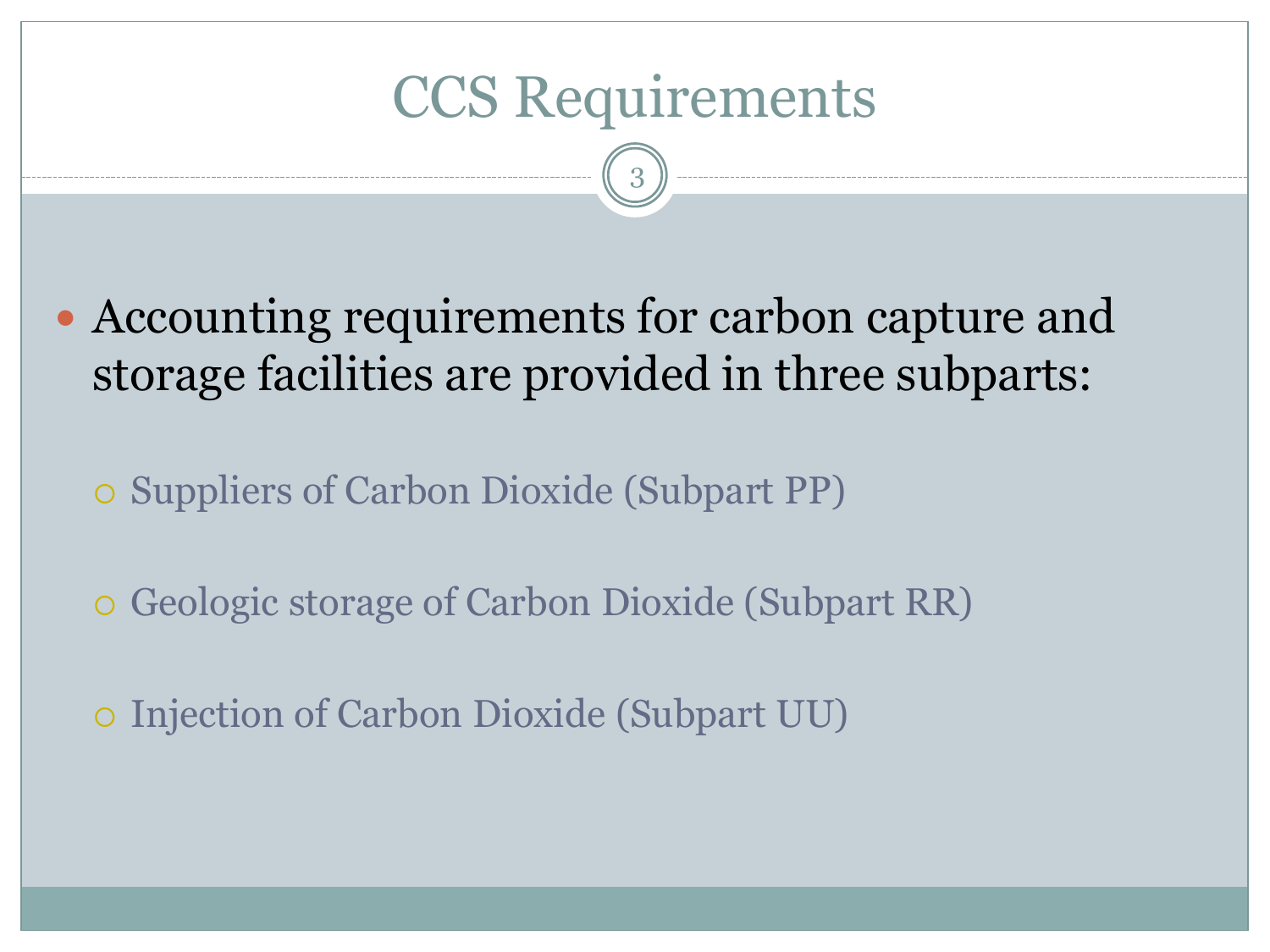#### CCS Requirements

- Accounting requirements for carbon capture and storage facilities are provided in three subparts:
	- Suppliers of Carbon Dioxide (Subpart PP)
	- Geologic storage of Carbon Dioxide (Subpart RR)
	- Injection of Carbon Dioxide (Subpart UU)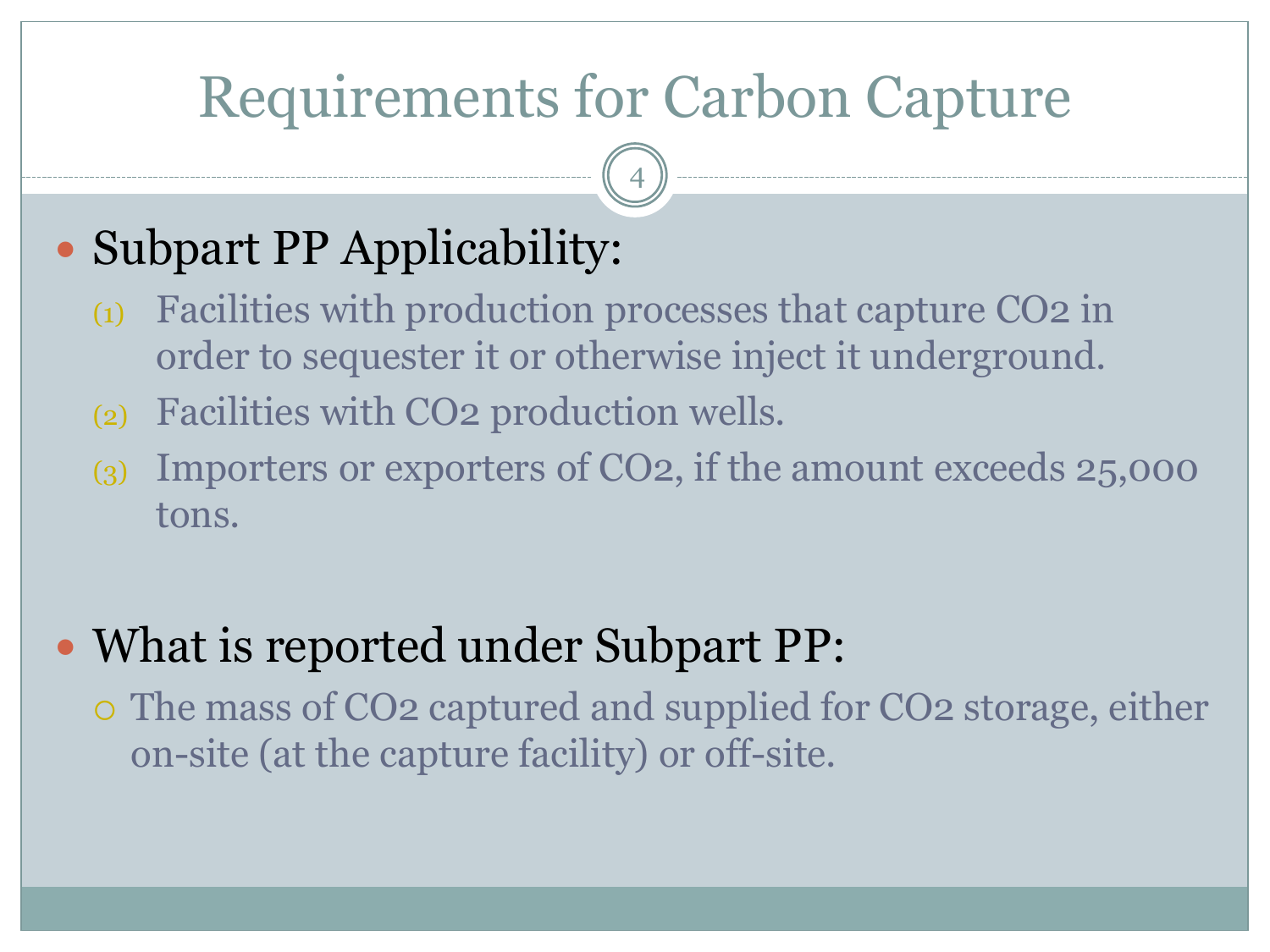## Requirements for Carbon Capture

4

### • Subpart PP Applicability:

- (1) Facilities with production processes that capture CO2 in order to sequester it or otherwise inject it underground.
- (2) Facilities with CO2 production wells.
- (3) Importers or exporters of CO2, if the amount exceeds 25,000 tons.

#### • What is reported under Subpart PP:

 The mass of CO2 captured and supplied for CO2 storage, either on-site (at the capture facility) or off-site.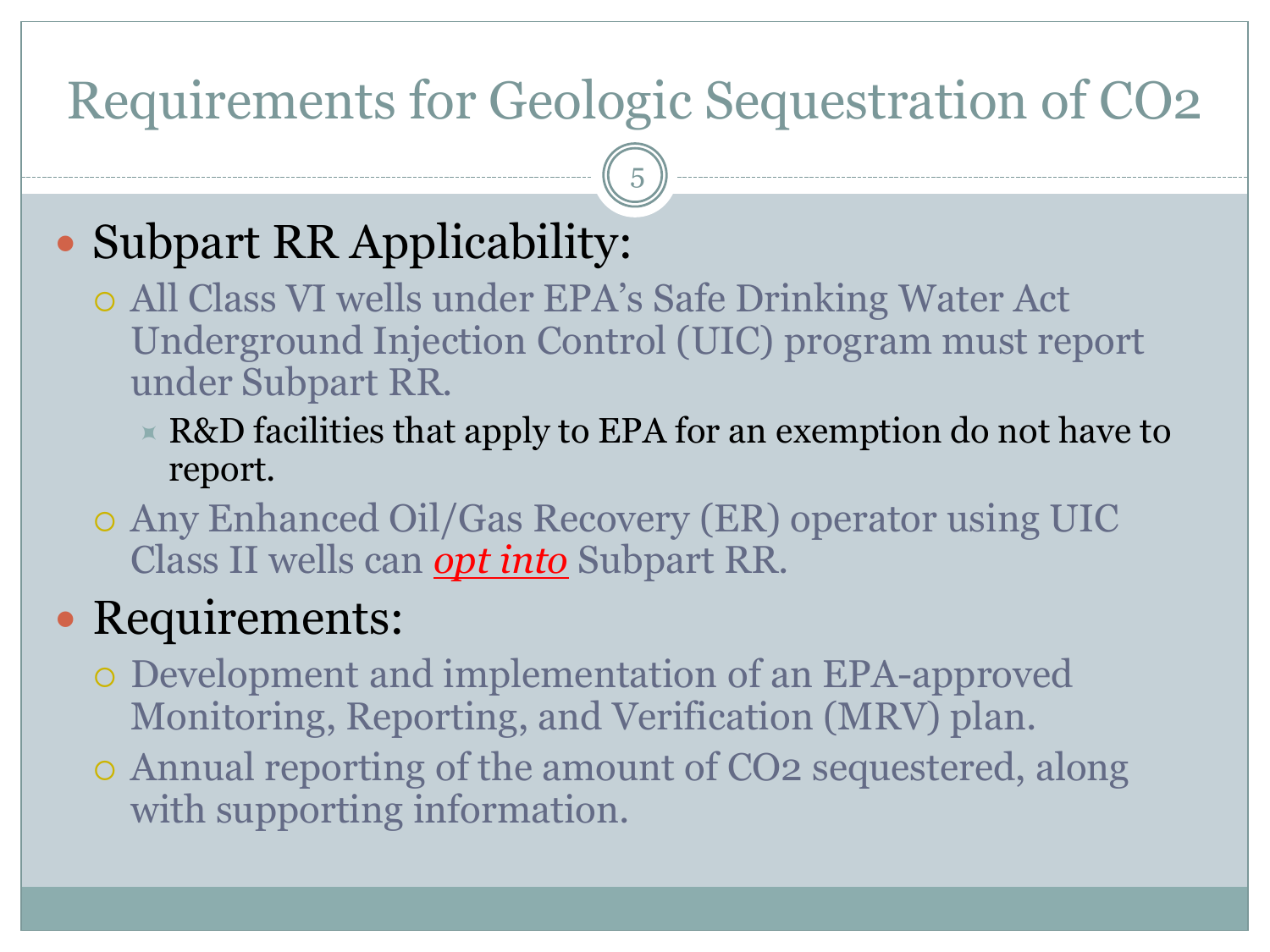#### Requirements for Geologic Sequestration of CO2

5

#### • Subpart RR Applicability:

- All Class VI wells under EPA's Safe Drinking Water Act Underground Injection Control (UIC) program must report under Subpart RR.
	- $\times$  R&D facilities that apply to EPA for an exemption do not have to report.
- Any Enhanced Oil/Gas Recovery (ER) operator using UIC Class II wells can *opt into* Subpart RR.

#### • Requirements:

- Development and implementation of an EPA-approved Monitoring, Reporting, and Verification (MRV) plan.
- Annual reporting of the amount of CO2 sequestered, along with supporting information.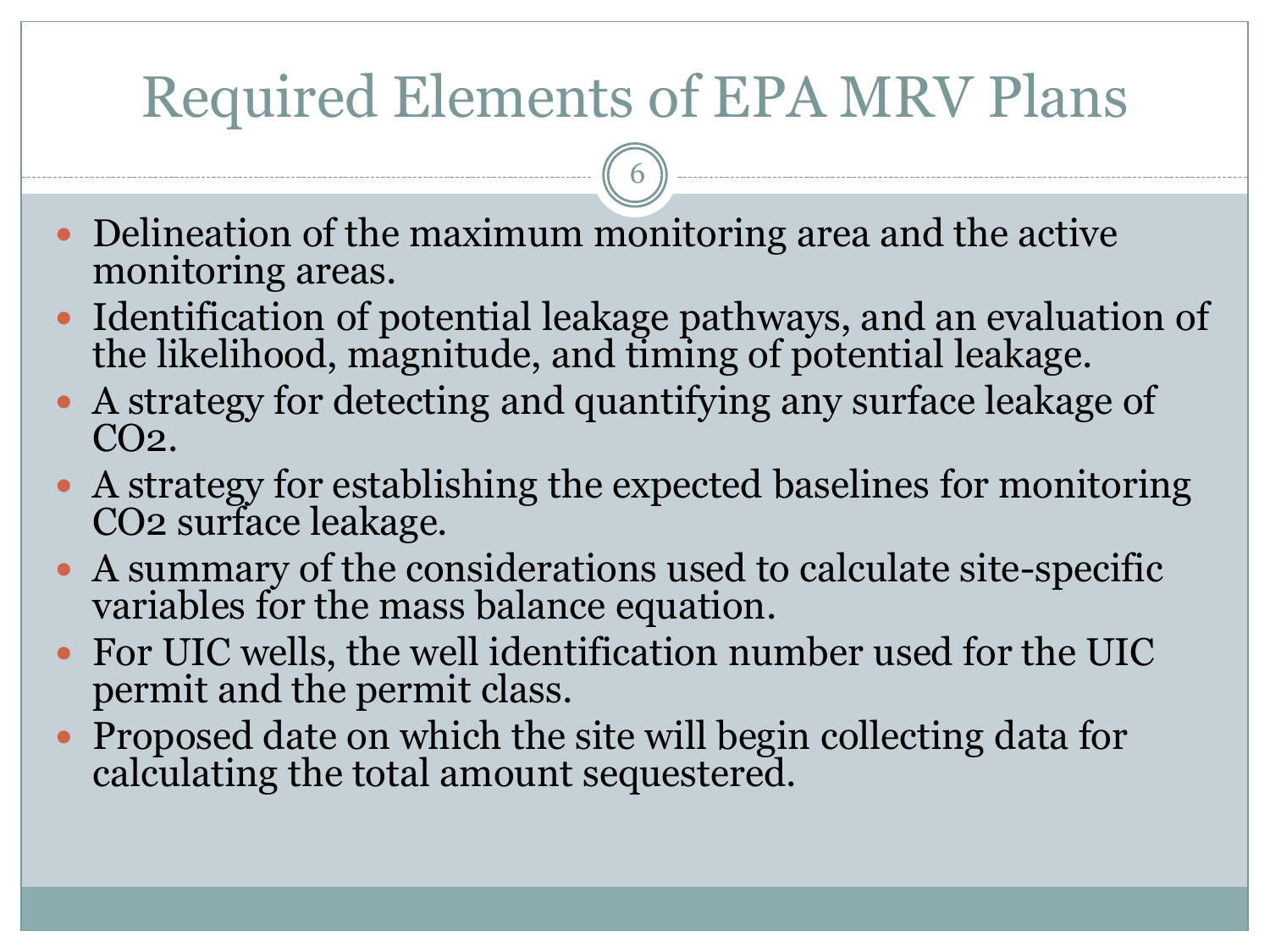## Required Elements of EPA MRV Plans

- Delineation of the maximum monitoring area and the active monitoring areas.
- Identification of potential leakage pathways, and an evaluation of the likelihood, magnitude, and timing of potential leakage.
- A strategy for detecting and quantifying any surface leakage of  $CO<sub>2</sub>$ .
- A strategy for establishing the expected baselines for monitoring CO2 surface leakage.
- A summary of the considerations used to calculate site-specific variables for the mass balance equation.
- For UIC wells, the well identification number used for the UIC permit and the permit class.
- Proposed date on which the site will begin collecting data for calculating the total amount sequestered.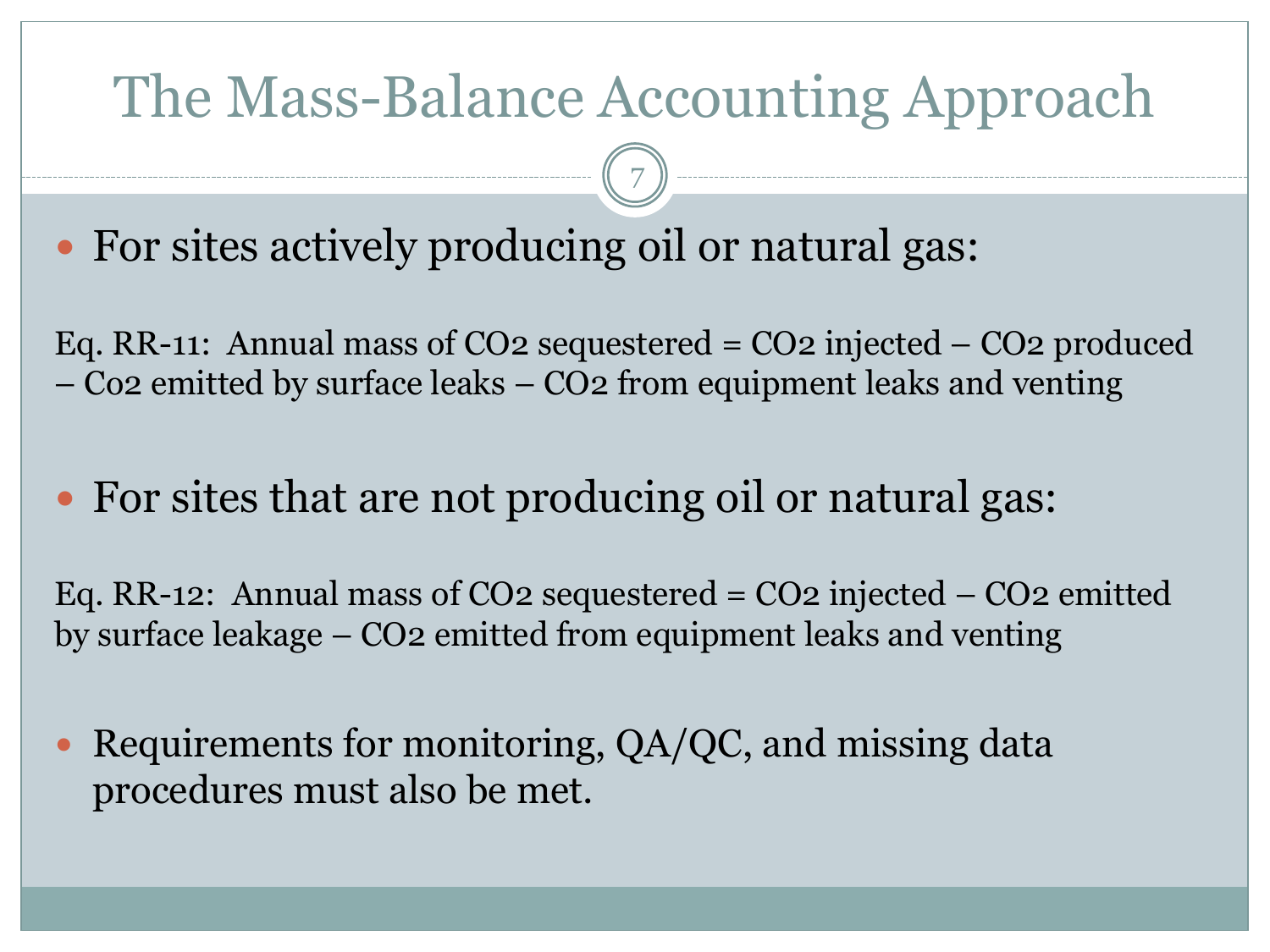### The Mass-Balance Accounting Approach

7

• For sites actively producing oil or natural gas:

Eq. RR-11: Annual mass of CO2 sequestered = CO2 injected – CO2 produced – Co2 emitted by surface leaks – CO2 from equipment leaks and venting

• For sites that are not producing oil or natural gas:

Eq. RR-12: Annual mass of CO2 sequestered = CO2 injected – CO2 emitted by surface leakage – CO2 emitted from equipment leaks and venting

• Requirements for monitoring, QA/QC, and missing data procedures must also be met.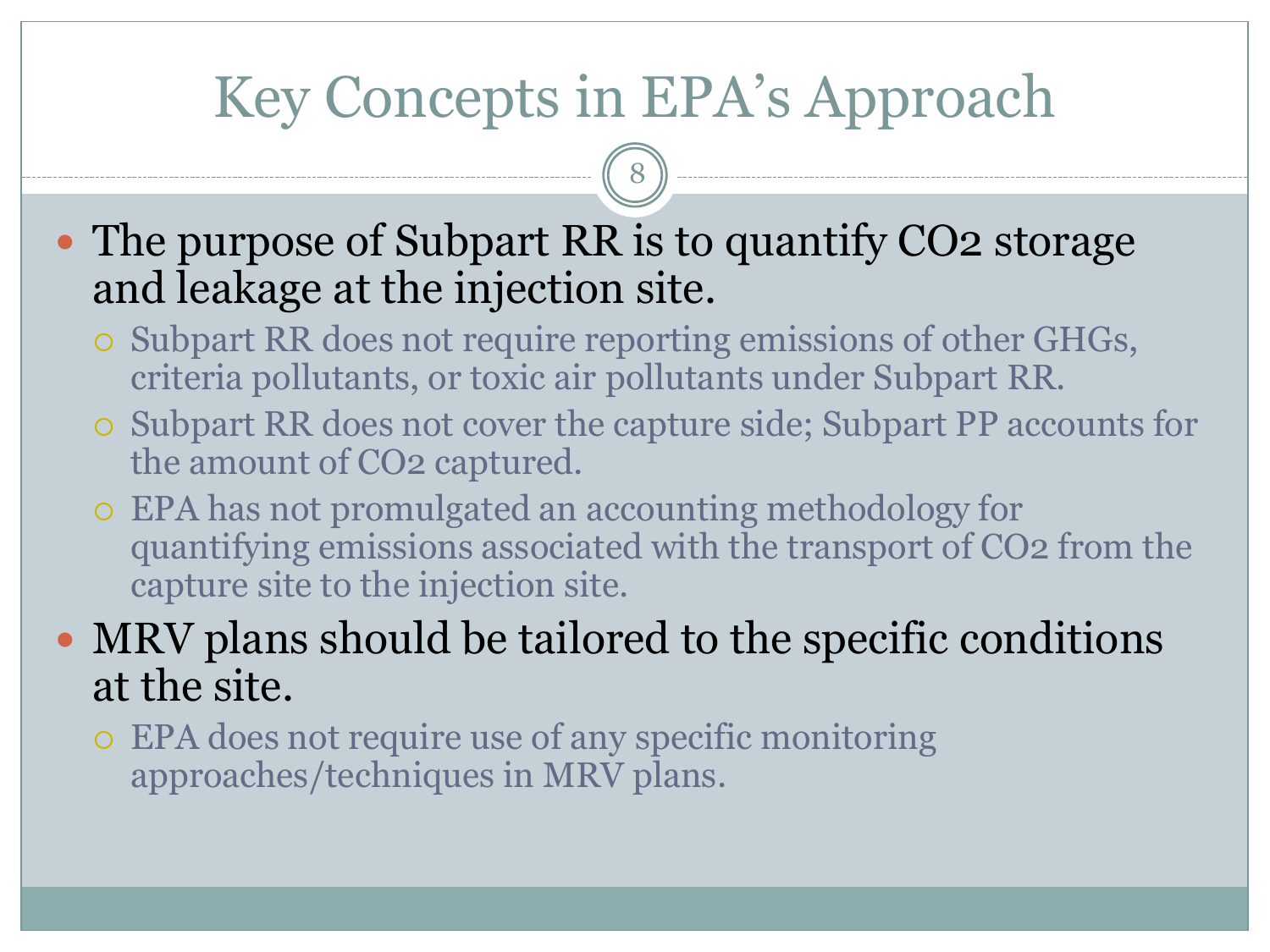## Key Concepts in EPA's Approach

8

- The purpose of Subpart RR is to quantify CO2 storage and leakage at the injection site.
	- Subpart RR does not require reporting emissions of other GHGs, criteria pollutants, or toxic air pollutants under Subpart RR.
	- Subpart RR does not cover the capture side; Subpart PP accounts for the amount of CO2 captured.
	- EPA has not promulgated an accounting methodology for quantifying emissions associated with the transport of CO2 from the capture site to the injection site.

#### MRV plans should be tailored to the specific conditions at the site.

 EPA does not require use of any specific monitoring approaches/techniques in MRV plans.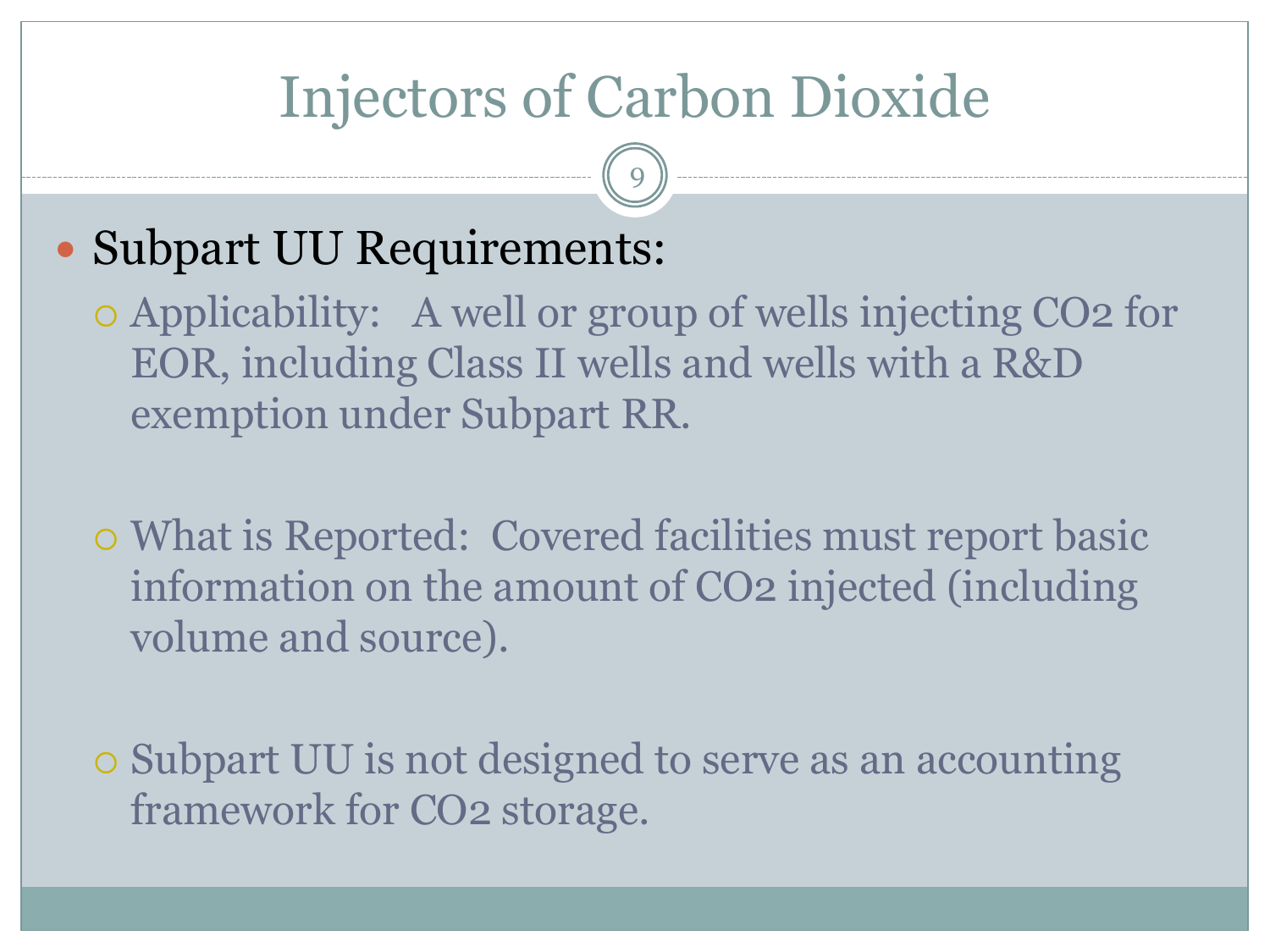## Injectors of Carbon Dioxide

9

#### • Subpart UU Requirements:

 Applicability: A well or group of wells injecting CO2 for EOR, including Class II wells and wells with a R&D exemption under Subpart RR.

 What is Reported: Covered facilities must report basic information on the amount of CO2 injected (including volume and source).

 Subpart UU is not designed to serve as an accounting framework for CO2 storage.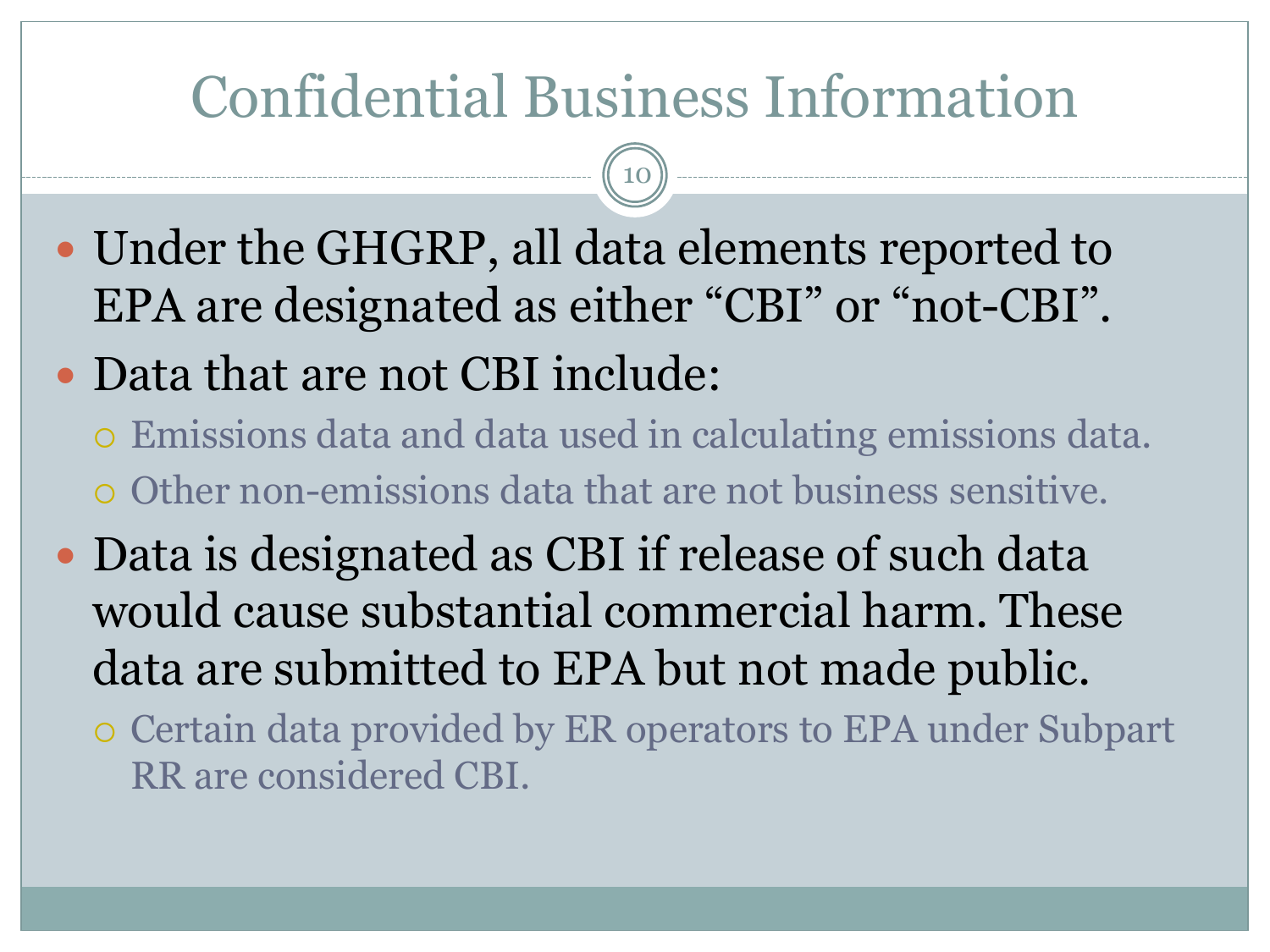## Confidential Business Information

- Under the GHGRP, all data elements reported to EPA are designated as either "CBI" or "not-CBI".
- Data that are not CBI include:
	- Emissions data and data used in calculating emissions data. Other non-emissions data that are not business sensitive.
- Data is designated as CBI if release of such data would cause substantial commercial harm. These data are submitted to EPA but not made public.
	- Certain data provided by ER operators to EPA under Subpart RR are considered CBI.